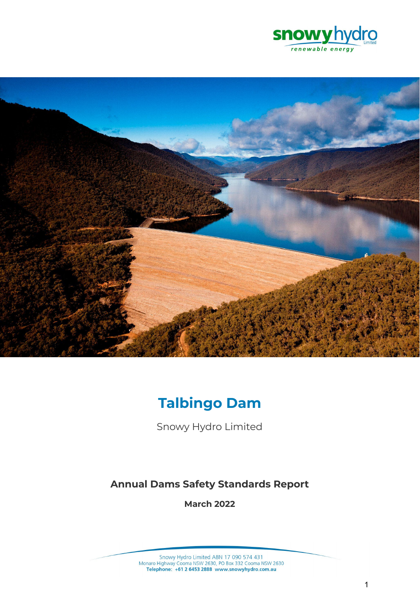



# **Talbingo Dam**

Snowy Hydro Limited

# **Annual Dams Safety Standards Report**

**March 2022**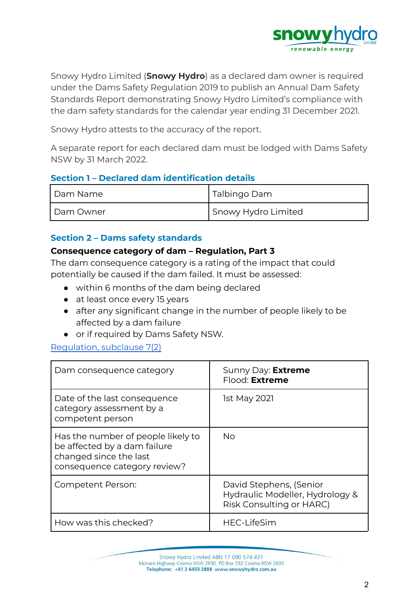

Snowy Hydro Limited (**Snowy Hydro**) as a declared dam owner is required under the Dams Safety Regulation 2019 to publish an Annual Dam Safety Standards Report demonstrating Snowy Hydro Limited's compliance with the dam safety standards for the calendar year ending 31 December 2021.

Snowy Hydro attests to the accuracy of the report.

A separate report for each declared dam must be lodged with Dams Safety NSW by 31 March 2022.

#### **Section 1 – Declared dam identification details**

| Dam Name  | Talbingo Dam        |
|-----------|---------------------|
| Dam Owner | Snowy Hydro Limited |

#### **Section 2 – Dams safety standards**

#### **Consequence category of dam – Regulation, Part 3**

The dam consequence category is a rating of the impact that could potentially be caused if the dam failed. It must be assessed:

- within 6 months of the dam being declared
- at least once every 15 years
- after any significant change in the number of people likely to be affected by a dam failure
- or if required by Dams Safety NSW.

#### [Regulation,](https://legislation.nsw.gov.au/view/html/inforce/current/sl-2019-0506#sec.7) subclause 7(2)

| Dam consequence category                                                                                                     | Sunny Day: Extreme<br>Flood: Extreme                                                   |
|------------------------------------------------------------------------------------------------------------------------------|----------------------------------------------------------------------------------------|
| Date of the last consequence<br>category assessment by a<br>competent person                                                 | <b>1st May 2021</b>                                                                    |
| Has the number of people likely to<br>be affected by a dam failure<br>changed since the last<br>consequence category review? | <b>No</b>                                                                              |
| <b>Competent Person:</b>                                                                                                     | David Stephens, (Senior<br>Hydraulic Modeller, Hydrology &<br>Risk Consulting or HARC) |
| How was this checked?                                                                                                        | <b>HEC-LifeSim</b>                                                                     |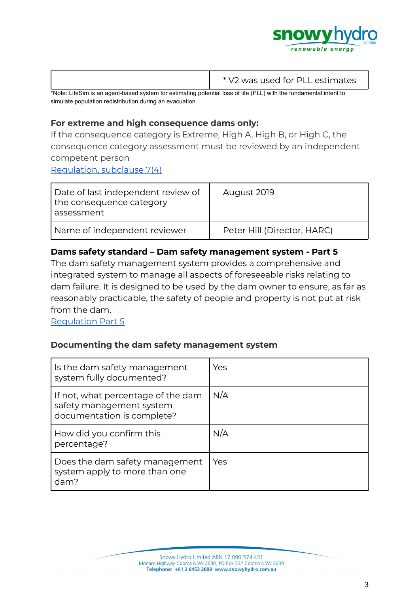

|                                                                                                                       | * V2 was used for PLL estimates |
|-----------------------------------------------------------------------------------------------------------------------|---------------------------------|
| thlate I if a Cim is an appet board custom for setimation patential loss of life (DLL) with the fundamental intent to |                                 |

\*Note: LifeSim is an agent-based system for estimating potential loss of life (PLL) with the fundamental intent to simulate population redistribution during an evacuation

# **For extreme and high consequence dams only:**

If the consequence category is Extreme, High A, High B, or High C, the consequence category assessment must be reviewed by an independent competent person

[Regulation,](https://legislation.nsw.gov.au/view/html/inforce/current/sl-2019-0506#sec.7) subclause 7(4)

| Date of last independent review of<br>the consequence category<br>assessment | August 2019                 |
|------------------------------------------------------------------------------|-----------------------------|
| Name of independent reviewer                                                 | Peter Hill (Director, HARC) |

# **Dams safety standard – Dam safety management system - Part 5**

The dam safety management system provides a comprehensive and integrated system to manage all aspects of foreseeable risks relating to dam failure. It is designed to be used by the dam owner to ensure, as far as reasonably practicable, the safety of people and property is not put at risk from the dam.

[Regulation](https://legislation.nsw.gov.au/view/html/inforce/current/sl-2019-0506#pt.5) Part 5

#### **Documenting the dam safety management system**

| Is the dam safety management<br>system fully documented?                                     | Yes |
|----------------------------------------------------------------------------------------------|-----|
| If not, what percentage of the dam<br>safety management system<br>documentation is complete? | N/A |
| How did you confirm this<br>percentage?                                                      | N/A |
| Does the dam safety management<br>system apply to more than one<br>dam?                      | Yes |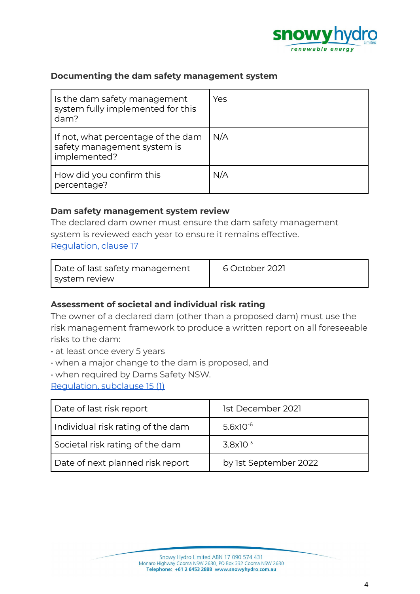

#### **Documenting the dam safety management system**

| Is the dam safety management<br>system fully implemented for this<br>dam?         | Yes |
|-----------------------------------------------------------------------------------|-----|
| If not, what percentage of the dam<br>safety management system is<br>implemented? | N/A |
| How did you confirm this<br>percentage?                                           | N/A |

#### **Dam safety management system review**

The declared dam owner must ensure the dam safety management system is reviewed each year to ensure it remains effective. [Regulation,](https://legislation.nsw.gov.au/view/html/inforce/current/sl-2019-0506#sec.17) clause 17

| Date of last safety management | 6 October 2021 |
|--------------------------------|----------------|
| system review                  |                |

#### **Assessment of societal and individual risk rating**

The owner of a declared dam (other than a proposed dam) must use the risk management framework to produce a written report on all foreseeable risks to the dam:

- at least once every 5 years
- when a major change to the dam is proposed, and
- when required by Dams Safety NSW.

[Regulation,](https://legislation.nsw.gov.au/view/html/inforce/current/sl-2019-0506#sec.15) subclause 15 (1)

| Date of last risk report          | 1st December 2021     |
|-----------------------------------|-----------------------|
| Individual risk rating of the dam | $5.6x10^{-6}$         |
| Societal risk rating of the dam   | $3.8x10^{-3}$         |
| Date of next planned risk report  | by 1st September 2022 |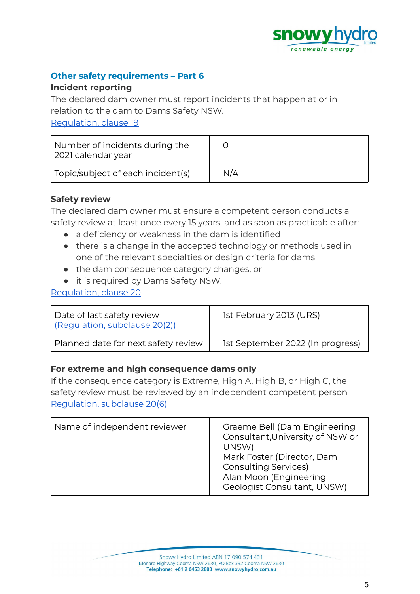

# **Other safety requirements – Part 6**

#### **Incident reporting**

The declared dam owner must report incidents that happen at or in relation to the dam to Dams Safety NSW.

[Regulation,](https://legislation.nsw.gov.au/view/html/inforce/current/sl-2019-0506#sec.19) clause 19

| Number of incidents during the<br>2021 calendar year |     |
|------------------------------------------------------|-----|
| Topic/subject of each incident(s)                    | N/A |

# **Safety review**

The declared dam owner must ensure a competent person conducts a safety review at least once every 15 years, and as soon as practicable after:

- a deficiency or weakness in the dam is identified
- there is a change in the accepted technology or methods used in one of the relevant specialties or design criteria for dams
- the dam consequence category changes, or
- it is required by Dams Safety NSW.

# [Regulation,](https://legislation.nsw.gov.au/view/html/inforce/current/sl-2019-0506#sec.20) clause 20

| <sup>1</sup> Date of last safety review<br>(Regulation, subclause 20(2)) | 1st February 2013 (URS)          |
|--------------------------------------------------------------------------|----------------------------------|
| Planned date for next safety review                                      | 1st September 2022 (In progress) |

#### **For extreme and high consequence dams only**

If the consequence category is Extreme, High A, High B, or High C, the safety review must be reviewed by an independent competent person [Regulation,](https://legislation.nsw.gov.au/view/html/inforce/current/sl-2019-0506#sec.7) subclause 20(6)

| Name of independent reviewer | Graeme Bell (Dam Engineering<br>Consultant, University of NSW or<br>UNSW)<br>Mark Foster (Director, Dam<br><b>Consulting Services)</b><br>Alan Moon (Engineering<br>Geologist Consultant, UNSW) |
|------------------------------|-------------------------------------------------------------------------------------------------------------------------------------------------------------------------------------------------|
|------------------------------|-------------------------------------------------------------------------------------------------------------------------------------------------------------------------------------------------|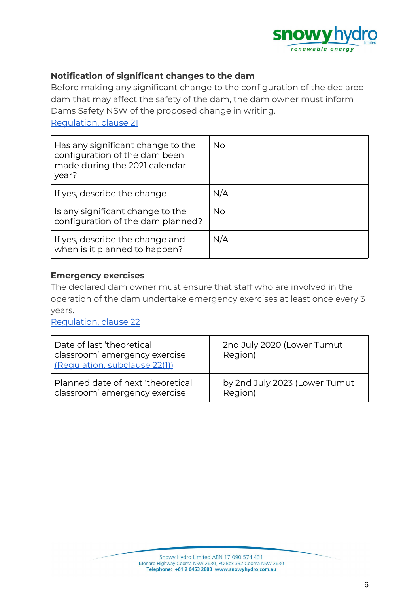

# **Notification of significant changes to the dam**

Before making any significant change to the configuration of the declared dam that may affect the safety of the dam, the dam owner must inform Dams Safety NSW of the proposed change in writing.

[Regulation,](https://legislation.nsw.gov.au/view/html/inforce/current/sl-2019-0506#sec.21) clause 21

| Has any significant change to the<br>configuration of the dam been<br>made during the 2021 calendar<br>year? | <b>No</b> |
|--------------------------------------------------------------------------------------------------------------|-----------|
| If yes, describe the change                                                                                  | N/A       |
| Is any significant change to the<br>configuration of the dam planned?                                        | No.       |
| If yes, describe the change and<br>when is it planned to happen?                                             | N/A       |

#### **Emergency exercises**

The declared dam owner must ensure that staff who are involved in the operation of the dam undertake emergency exercises at least once every 3 years.

[Regulation,](https://legislation.nsw.gov.au/view/html/inforce/current/sl-2019-0506#sec.22) clause 22

| Date of last 'theoretical<br>classroom' emergency exercise<br>(Regulation, subclause 22(1)) | 2nd July 2020 (Lower Tumut<br>Region) |
|---------------------------------------------------------------------------------------------|---------------------------------------|
| Planned date of next 'theoretical                                                           | by 2nd July 2023 (Lower Tumut         |
| classroom' emergency exercise                                                               | Region)                               |